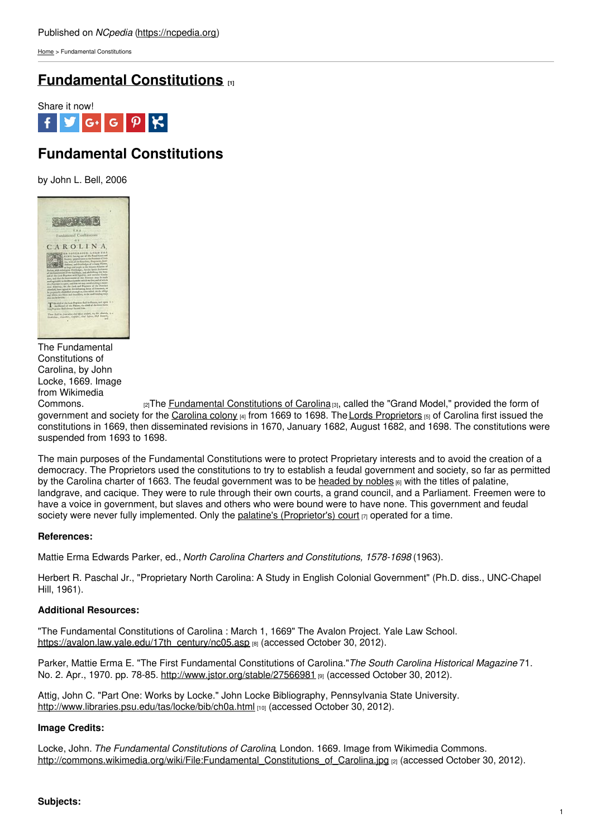[Home](https://ncpedia.org/) > Fundamental Constitutions

## **Fundamental [Constitutions](https://ncpedia.org/fundamental-constitutions) [1]**



# **Fundamental Constitutions**

by John L. Bell, 2006



The Fundamental Constitutions of Carolina, by John Locke, 1669. Image from Wikimedia

[Commons.](http://commons.wikimedia.org/wiki/File:Fundamental_Constitutions_of_Carolina.jpg)  $[2]$ The [Fundamental](https://archive.org/stream/collectionofseve00lock#page/n27/mode/2up) Constitutions of Carolina [3], called the "Grand Model," provided the form of government and society for the [Carolina](https://ncpedia.org/carolina) colony  $H_1$  from 1669 to 1698. The Lords [Proprietors](https://ncpedia.org/lords-proprietors)  $F_1$  of Carolina first issued the constitutions in 1669, then disseminated revisions in 1670, January 1682, August 1682, and 1698. The constitutions were suspended from 1693 to 1698.

The main purposes of the Fundamental Constitutions were to protect Proprietary interests and to avoid the creation of a democracy. The Proprietors used the constitutions to try to establish a feudal government and society, so far as permitted by the Carolina charter of 1663. The feudal government was to be [headed](https://ncpedia.org/peerage) by nobles [6] with the titles of palatine, landgrave, and cacique. They were to rule through their own courts, a grand council, and a Parliament. Freemen were to have a voice in government, but slaves and others who were bound were to have none. This government and feudal society were never fully implemented. Only the palatine's [\(Proprietor's\)](https://ncpedia.org/palatine-court) court  $\sigma$  operated for a time.

### **References:**

Mattie Erma Edwards Parker, ed., *North Carolina Charters and Constitutions, 1578-1698* (1963).

Herbert R. Paschal Jr., "Proprietary North Carolina: A Study in English Colonial Government" (Ph.D. diss., UNC-Chapel Hill, 1961).

### **Additional Resources:**

"The Fundamental Constitutions of Carolina : March 1, 1669" The Avalon Project. Yale Law School. [https://avalon.law.yale.edu/17th\\_century/nc05.asp](https://avalon.law.yale.edu/17th_century/nc05.asp) [8] (accessed October 30, 2012).

Parker, Mattie Erma E. "The First Fundamental Constitutions of Carolina."*The South Carolina Historical Magazine* 71. No. 2. Apr., 1970. pp. 78-85. <http://www.jstor.org/stable/27566981> [9] (accessed October 30, 2012).

Attig, John C. "Part One: Works by Locke." John Locke Bibliography, Pennsylvania State University. <http://www.libraries.psu.edu/tas/locke/bib/ch0a.html> [10] (accessed October 30, 2012).

### **Image Credits:**

Locke, John. *The Fundamental Constitutions of Carolina*, London. 1669. Image from Wikimedia Commons. [http://commons.wikimedia.org/wiki/File:Fundamental\\_Constitutions\\_of\\_Carolina.jpg](http://commons.wikimedia.org/wiki/File:Fundamental_Constitutions_of_Carolina.jpg) [2] (accessed October 30, 2012).